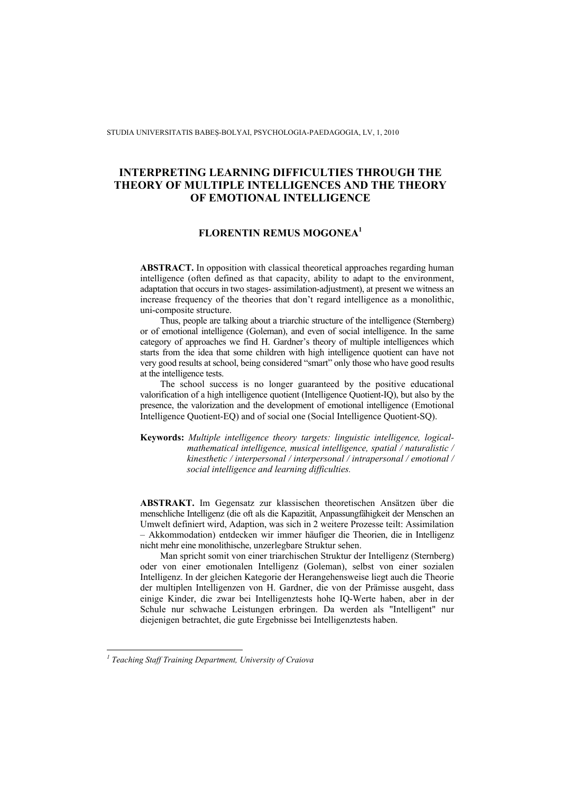STUDIA UNIVERSITATIS BABEŞ-BOLYAI, PSYCHOLOGIA-PAEDAGOGIA, LV, 1, 2010

# **INTERPRETING LEARNING DIFFICULTIES THROUGH THE THEORY OF MULTIPLE INTELLIGENCES AND THE THEORY OF EMOTIONAL INTELLIGENCE**

## **FLORENTIN REMUS MOGONEA<sup>1</sup>**

**ABSTRACT.** In opposition with classical theoretical approaches regarding human intelligence (often defined as that capacity, ability to adapt to the environment, adaptation that occurs in two stages- assimilation-adjustment), at present we witness an increase frequency of the theories that don't regard intelligence as a monolithic, uni-composite structure.

Thus, people are talking about a triarchic structure of the intelligence (Sternberg) or of emotional intelligence (Goleman), and even of social intelligence. In the same category of approaches we find H. Gardner's theory of multiple intelligences which starts from the idea that some children with high intelligence quotient can have not very good results at school, being considered "smart" only those who have good results at the intelligence tests.

The school success is no longer guaranteed by the positive educational valorification of a high intelligence quotient (Intelligence Quotient-IQ), but also by the presence, the valorization and the development of emotional intelligence (Emotional Intelligence Quotient-EQ) and of social one (Social Intelligence Quotient-SQ).

**Keywords:** *Multiple intelligence theory targets: linguistic intelligence, logicalmathematical intelligence, musical intelligence, spatial / naturalistic / kinesthetic / interpersonal / interpersonal / intrapersonal / emotional / social intelligence and learning difficulties.*

**ABSTRAKT.** Im Gegensatz zur klassischen theoretischen Ansätzen über die menschliche Intelligenz (die oft als die Kapazität, Anpassungfähigkeit der Menschen an Umwelt definiert wird, Adaption, was sich in 2 weitere Prozesse teilt: Assimilation – Akkommodation) entdecken wir immer häufiger die Theorien, die in Intelligenz nicht mehr eine monolithische, unzerlegbare Struktur sehen.

Man spricht somit von einer triarchischen Struktur der Intelligenz (Sternberg) oder von einer emotionalen Intelligenz (Goleman), selbst von einer sozialen Intelligenz. In der gleichen Kategorie der Herangehensweise liegt auch die Theorie der multiplen Intelligenzen von H. Gardner, die von der Prämisse ausgeht, dass einige Kinder, die zwar bei Intelligenztests hohe IQ-Werte haben, aber in der Schule nur schwache Leistungen erbringen. Da werden als "Intelligent" nur diejenigen betrachtet, die gute Ergebnisse bei Intelligenztests haben.

 *1 Teaching Staff Training Department, University of Craiova*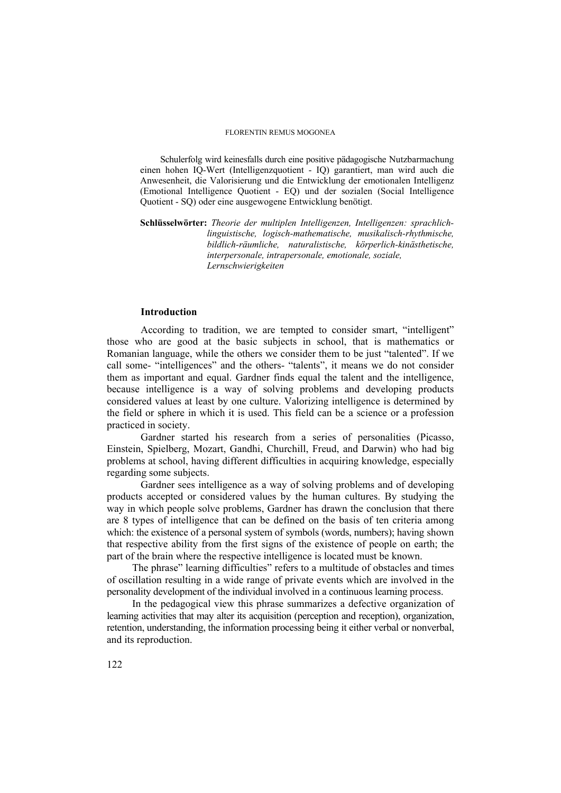Schulerfolg wird keinesfalls durch eine positive pädagogische Nutzbarmachung einen hohen IQ-Wert (Intelligenzquotient - IQ) garantiert, man wird auch die Anwesenheit, die Valorisierung und die Entwicklung der emotionalen Intelligenz (Emotional Intelligence Quotient - EQ) und der sozialen (Social Intelligence Quotient - SQ) oder eine ausgewogene Entwicklung benötigt.

**Schlüsselwörter:** *Theorie der multiplen Intelligenzen, Intelligenzen: sprachlichlinguistische, logisch-mathematische, musikalisch-rhythmische, bildlich-räumliche, naturalistische, körperlich-kinästhetische, interpersonale, intrapersonale, emotionale, soziale, Lernschwierigkeiten*

### **Introduction**

According to tradition, we are tempted to consider smart, "intelligent" those who are good at the basic subjects in school, that is mathematics or Romanian language, while the others we consider them to be just "talented". If we call some- "intelligences" and the others- "talents", it means we do not consider them as important and equal. Gardner finds equal the talent and the intelligence, because intelligence is a way of solving problems and developing products considered values at least by one culture. Valorizing intelligence is determined by the field or sphere in which it is used. This field can be a science or a profession practiced in society.

Gardner started his research from a series of personalities (Picasso, Einstein, Spielberg, Mozart, Gandhi, Churchill, Freud, and Darwin) who had big problems at school, having different difficulties in acquiring knowledge, especially regarding some subjects.

Gardner sees intelligence as a way of solving problems and of developing products accepted or considered values by the human cultures. By studying the way in which people solve problems, Gardner has drawn the conclusion that there are 8 types of intelligence that can be defined on the basis of ten criteria among which: the existence of a personal system of symbols (words, numbers); having shown that respective ability from the first signs of the existence of people on earth; the part of the brain where the respective intelligence is located must be known.

The phrase" learning difficulties" refers to a multitude of obstacles and times of oscillation resulting in a wide range of private events which are involved in the personality development of the individual involved in a continuous learning process.

In the pedagogical view this phrase summarizes a defective organization of learning activities that may alter its acquisition (perception and reception), organization, retention, understanding, the information processing being it either verbal or nonverbal, and its reproduction.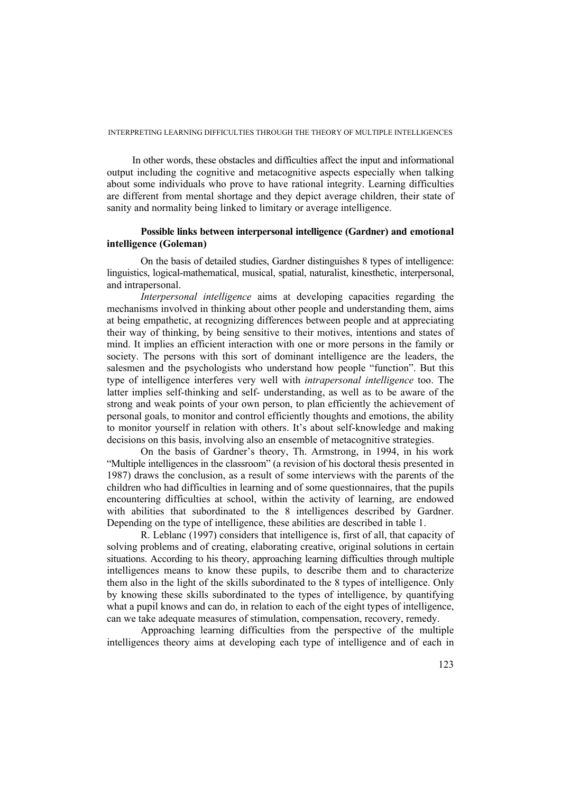In other words, these obstacles and difficulties affect the input and informational output including the cognitive and metacognitive aspects especially when talking about some individuals who prove to have rational integrity. Learning difficulties are different from mental shortage and they depict average children, their state of sanity and normality being linked to limitary or average intelligence.

# **Possible links between interpersonal intelligence (Gardner) and emotional intelligence (Goleman)**

On the basis of detailed studies, Gardner distinguishes 8 types of intelligence: linguistics, logical-mathematical, musical, spatial, naturalist, kinesthetic, interpersonal, and intrapersonal.

*Interpersonal intelligence* aims at developing capacities regarding the mechanisms involved in thinking about other people and understanding them, aims at being empathetic, at recognizing differences between people and at appreciating their way of thinking, by being sensitive to their motives, intentions and states of mind. It implies an efficient interaction with one or more persons in the family or society. The persons with this sort of dominant intelligence are the leaders, the salesmen and the psychologists who understand how people "function". But this type of intelligence interferes very well with *intrapersonal intelligence* too. The latter implies self-thinking and self- understanding, as well as to be aware of the strong and weak points of your own person, to plan efficiently the achievement of personal goals, to monitor and control efficiently thoughts and emotions, the ability to monitor yourself in relation with others. It's about self-knowledge and making decisions on this basis, involving also an ensemble of metacognitive strategies.

 On the basis of Gardner's theory, Th. Armstrong, in 1994, in his work "Multiple intelligences in the classroom" (a revision of his doctoral thesis presented in 1987) draws the conclusion, as a result of some interviews with the parents of the children who had difficulties in learning and of some questionnaires, that the pupils encountering difficulties at school, within the activity of learning, are endowed with abilities that subordinated to the 8 intelligences described by Gardner. Depending on the type of intelligence, these abilities are described in table 1.

R. Leblanc (1997) considers that intelligence is, first of all, that capacity of solving problems and of creating, elaborating creative, original solutions in certain situations. According to his theory, approaching learning difficulties through multiple intelligences means to know these pupils, to describe them and to characterize them also in the light of the skills subordinated to the 8 types of intelligence. Only by knowing these skills subordinated to the types of intelligence, by quantifying what a pupil knows and can do, in relation to each of the eight types of intelligence, can we take adequate measures of stimulation, compensation, recovery, remedy.

Approaching learning difficulties from the perspective of the multiple intelligences theory aims at developing each type of intelligence and of each in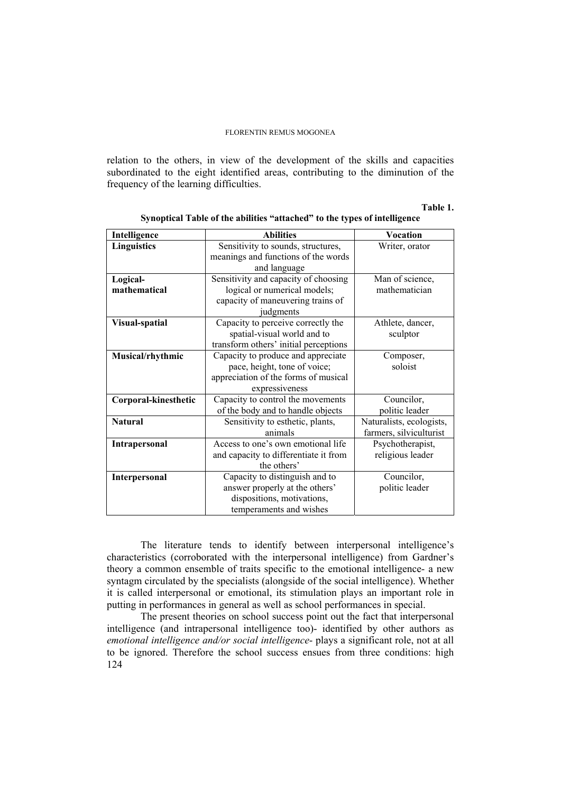relation to the others, in view of the development of the skills and capacities subordinated to the eight identified areas, contributing to the diminution of the frequency of the learning difficulties.

#### **Table 1.**

| Intelligence         | <b>Abilities</b>                      | Vocation                 |  |
|----------------------|---------------------------------------|--------------------------|--|
| <b>Linguistics</b>   | Sensitivity to sounds, structures,    | Writer, orator           |  |
|                      | meanings and functions of the words   |                          |  |
|                      | and language                          |                          |  |
| Logical-             | Sensitivity and capacity of choosing  | Man of science,          |  |
| mathematical         | logical or numerical models;          | mathematician            |  |
|                      | capacity of maneuvering trains of     |                          |  |
|                      | judgments                             |                          |  |
| Visual-spatial       | Capacity to perceive correctly the    | Athlete, dancer,         |  |
|                      | spatial-visual world and to           | sculptor                 |  |
|                      | transform others' initial perceptions |                          |  |
| Musical/rhythmic     | Capacity to produce and appreciate    | Composer,                |  |
|                      | pace, height, tone of voice;          | soloist                  |  |
|                      | appreciation of the forms of musical  |                          |  |
|                      | expressiveness                        |                          |  |
| Corporal-kinesthetic | Capacity to control the movements     | Councilor,               |  |
|                      | of the body and to handle objects     | politic leader           |  |
| <b>Natural</b>       | Sensitivity to esthetic, plants,      | Naturalists, ecologists, |  |
|                      | animals                               | farmers, silviculturist  |  |
| <b>Intrapersonal</b> | Access to one's own emotional life    | Psychotherapist,         |  |
|                      | and capacity to differentiate it from | religious leader         |  |
|                      | the others'                           |                          |  |
| Interpersonal        | Capacity to distinguish and to        | Councilor,               |  |
|                      | answer properly at the others'        | politic leader           |  |
|                      | dispositions, motivations,            |                          |  |
|                      | temperaments and wishes               |                          |  |

**Synoptical Table of the abilities "attached" to the types of intelligence** 

The literature tends to identify between interpersonal intelligence's characteristics (corroborated with the interpersonal intelligence) from Gardner's theory a common ensemble of traits specific to the emotional intelligence- a new syntagm circulated by the specialists (alongside of the social intelligence). Whether it is called interpersonal or emotional, its stimulation plays an important role in putting in performances in general as well as school performances in special.

124 The present theories on school success point out the fact that interpersonal intelligence (and intrapersonal intelligence too)- identified by other authors as *emotional intelligence and/or social intelligence*- plays a significant role, not at all to be ignored. Therefore the school success ensues from three conditions: high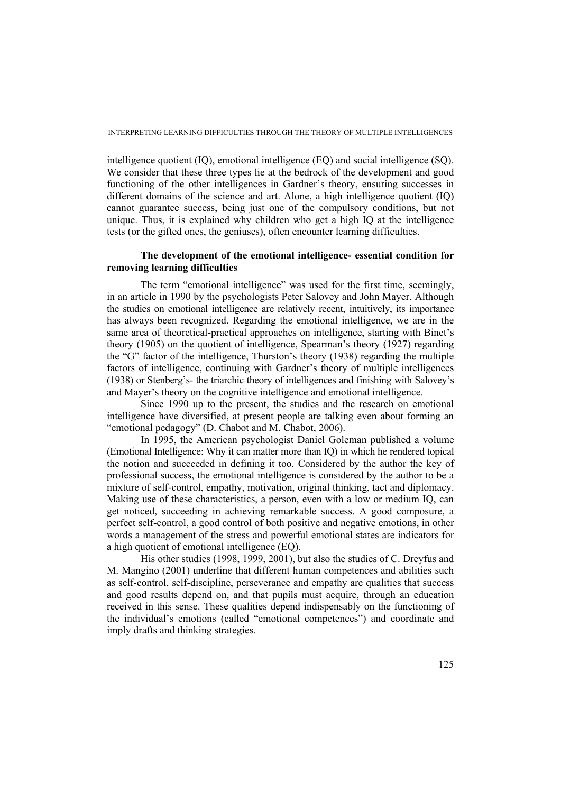intelligence quotient (IQ), emotional intelligence (EQ) and social intelligence (SQ). We consider that these three types lie at the bedrock of the development and good functioning of the other intelligences in Gardner's theory, ensuring successes in different domains of the science and art. Alone, a high intelligence quotient (IQ) cannot guarantee success, being just one of the compulsory conditions, but not unique. Thus, it is explained why children who get a high IQ at the intelligence tests (or the gifted ones, the geniuses), often encounter learning difficulties.

# **The development of the emotional intelligence- essential condition for removing learning difficulties**

The term "emotional intelligence" was used for the first time, seemingly, in an article in 1990 by the psychologists Peter Salovey and John Mayer. Although the studies on emotional intelligence are relatively recent, intuitively, its importance has always been recognized. Regarding the emotional intelligence, we are in the same area of theoretical-practical approaches on intelligence, starting with Binet's theory (1905) on the quotient of intelligence, Spearman's theory (1927) regarding the "G" factor of the intelligence, Thurston's theory (1938) regarding the multiple factors of intelligence, continuing with Gardner's theory of multiple intelligences (1938) or Stenberg's- the triarchic theory of intelligences and finishing with Salovey's and Mayer's theory on the cognitive intelligence and emotional intelligence.

Since 1990 up to the present, the studies and the research on emotional intelligence have diversified, at present people are talking even about forming an "emotional pedagogy" (D. Chabot and M. Chabot, 2006).

In 1995, the American psychologist Daniel Goleman published a volume (Emotional Intelligence: Why it can matter more than IQ) in which he rendered topical the notion and succeeded in defining it too. Considered by the author the key of professional success, the emotional intelligence is considered by the author to be a mixture of self-control, empathy, motivation, original thinking, tact and diplomacy. Making use of these characteristics, a person, even with a low or medium IQ, can get noticed, succeeding in achieving remarkable success. A good composure, a perfect self-control, a good control of both positive and negative emotions, in other words a management of the stress and powerful emotional states are indicators for a high quotient of emotional intelligence (EQ).

His other studies (1998, 1999, 2001), but also the studies of C. Dreyfus and M. Mangino (2001) underline that different human competences and abilities such as self-control, self-discipline, perseverance and empathy are qualities that success and good results depend on, and that pupils must acquire, through an education received in this sense. These qualities depend indispensably on the functioning of the individual's emotions (called "emotional competences") and coordinate and imply drafts and thinking strategies.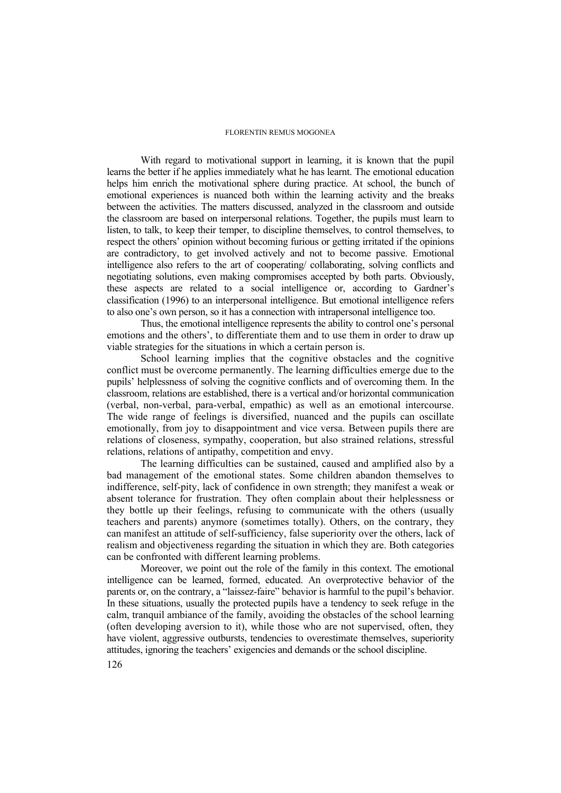With regard to motivational support in learning, it is known that the pupil learns the better if he applies immediately what he has learnt. The emotional education helps him enrich the motivational sphere during practice. At school, the bunch of emotional experiences is nuanced both within the learning activity and the breaks between the activities. The matters discussed, analyzed in the classroom and outside the classroom are based on interpersonal relations. Together, the pupils must learn to listen, to talk, to keep their temper, to discipline themselves, to control themselves, to respect the others' opinion without becoming furious or getting irritated if the opinions are contradictory, to get involved actively and not to become passive. Emotional intelligence also refers to the art of cooperating/ collaborating, solving conflicts and negotiating solutions, even making compromises accepted by both parts. Obviously, these aspects are related to a social intelligence or, according to Gardner's classification (1996) to an interpersonal intelligence. But emotional intelligence refers to also one's own person, so it has a connection with intrapersonal intelligence too.

Thus, the emotional intelligence represents the ability to control one's personal emotions and the others', to differentiate them and to use them in order to draw up viable strategies for the situations in which a certain person is.

School learning implies that the cognitive obstacles and the cognitive conflict must be overcome permanently. The learning difficulties emerge due to the pupils' helplessness of solving the cognitive conflicts and of overcoming them. In the classroom, relations are established, there is a vertical and/or horizontal communication (verbal, non-verbal, para-verbal, empathic) as well as an emotional intercourse. The wide range of feelings is diversified, nuanced and the pupils can oscillate emotionally, from joy to disappointment and vice versa. Between pupils there are relations of closeness, sympathy, cooperation, but also strained relations, stressful relations, relations of antipathy, competition and envy.

The learning difficulties can be sustained, caused and amplified also by a bad management of the emotional states. Some children abandon themselves to indifference, self-pity, lack of confidence in own strength; they manifest a weak or absent tolerance for frustration. They often complain about their helplessness or they bottle up their feelings, refusing to communicate with the others (usually teachers and parents) anymore (sometimes totally). Others, on the contrary, they can manifest an attitude of self-sufficiency, false superiority over the others, lack of realism and objectiveness regarding the situation in which they are. Both categories can be confronted with different learning problems.

Moreover, we point out the role of the family in this context. The emotional intelligence can be learned, formed, educated. An overprotective behavior of the parents or, on the contrary, a "laissez-faire" behavior is harmful to the pupil's behavior. In these situations, usually the protected pupils have a tendency to seek refuge in the calm, tranquil ambiance of the family, avoiding the obstacles of the school learning (often developing aversion to it), while those who are not supervised, often, they have violent, aggressive outbursts, tendencies to overestimate themselves, superiority attitudes, ignoring the teachers' exigencies and demands or the school discipline.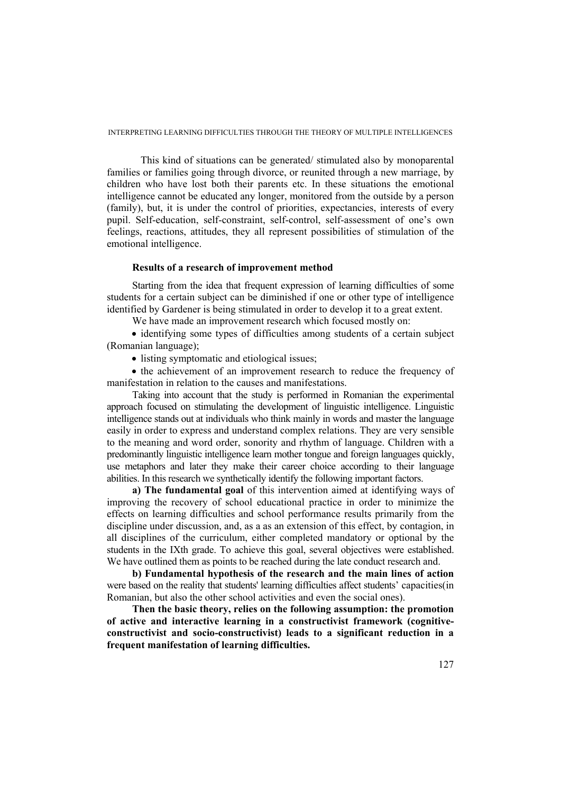This kind of situations can be generated/ stimulated also by monoparental families or families going through divorce, or reunited through a new marriage, by children who have lost both their parents etc. In these situations the emotional intelligence cannot be educated any longer, monitored from the outside by a person (family), but, it is under the control of priorities, expectancies, interests of every pupil. Self-education, self-constraint, self-control, self-assessment of one's own feelings, reactions, attitudes, they all represent possibilities of stimulation of the emotional intelligence.

### **Results of a research of improvement method**

Starting from the idea that frequent expression of learning difficulties of some students for a certain subject can be diminished if one or other type of intelligence identified by Gardener is being stimulated in order to develop it to a great extent.

We have made an improvement research which focused mostly on:

• identifying some types of difficulties among students of a certain subject (Romanian language);

• listing symptomatic and etiological issues;

• the achievement of an improvement research to reduce the frequency of manifestation in relation to the causes and manifestations.

Taking into account that the study is performed in Romanian the experimental approach focused on stimulating the development of linguistic intelligence. Linguistic intelligence stands out at individuals who think mainly in words and master the language easily in order to express and understand complex relations. They are very sensible to the meaning and word order, sonority and rhythm of language. Children with a predominantly linguistic intelligence learn mother tongue and foreign languages quickly, use metaphors and later they make their career choice according to their language abilities. In this research we synthetically identify the following important factors.

**a) The fundamental goal** of this intervention aimed at identifying ways of improving the recovery of school educational practice in order to minimize the effects on learning difficulties and school performance results primarily from the discipline under discussion, and, as a as an extension of this effect, by contagion, in all disciplines of the curriculum, either completed mandatory or optional by the students in the IXth grade. To achieve this goal, several objectives were established. We have outlined them as points to be reached during the late conduct research and.

**b) Fundamental hypothesis of the research and the main lines of action** were based on the reality that students' learning difficulties affect students' capacities(in Romanian, but also the other school activities and even the social ones).

**Then the basic theory, relies on the following assumption: the promotion of active and interactive learning in a constructivist framework (cognitiveconstructivist and socio-constructivist) leads to a significant reduction in a frequent manifestation of learning difficulties.**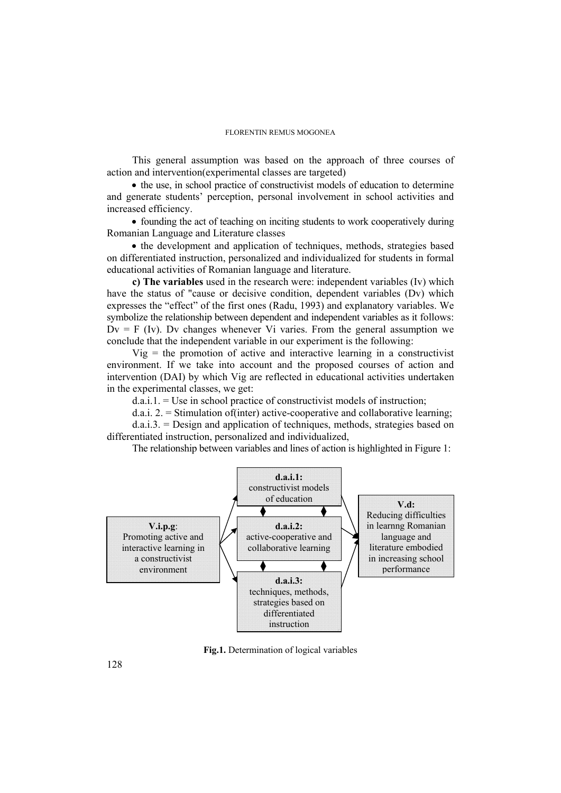This general assumption was based on the approach of three courses of action and intervention(experimental classes are targeted)

• the use, in school practice of constructivist models of education to determine and generate students' perception, personal involvement in school activities and increased efficiency.

• founding the act of teaching on inciting students to work cooperatively during Romanian Language and Literature classes

• the development and application of techniques, methods, strategies based on differentiated instruction, personalized and individualized for students in formal educational activities of Romanian language and literature.

**c) The variables** used in the research were: independent variables (Iv) which have the status of "cause or decisive condition, dependent variables (Dv) which expresses the "effect" of the first ones (Radu, 1993) and explanatory variables. We symbolize the relationship between dependent and independent variables as it follows:  $Dv = F$  (Iv). Dv changes whenever Vi varies. From the general assumption we conclude that the independent variable in our experiment is the following:

 $Vig$  = the promotion of active and interactive learning in a constructivist environment. If we take into account and the proposed courses of action and intervention (DAI) by which Vig are reflected in educational activities undertaken in the experimental classes, we get:

 $d.a.i.1 = Use$  in school practice of constructivist models of instruction:

 $d.a.i. 2 = Stimulation of (inter) active-cooperative and collaborative learning;$ 

d.a.i.3. = Design and application of techniques, methods, strategies based on differentiated instruction, personalized and individualized,

The relationship between variables and lines of action is highlighted in Figure 1:



**Fig.1.** Determination of logical variables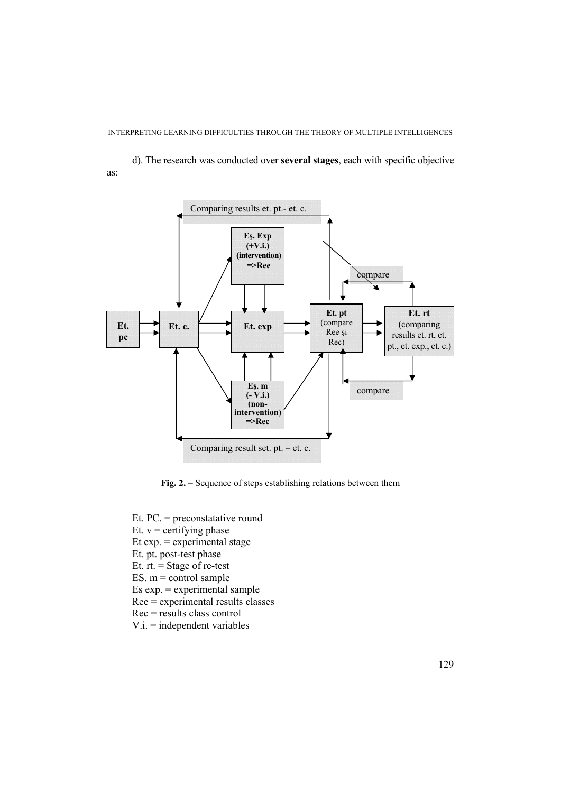d). The research was conducted over **several stages**, each with specific objective as:



**Fig. 2.** – Sequence of steps establishing relations between them

- Et. PC. = preconstatative round
- Et.  $v =$  certifying phase
- Et  $exp = experimental stage$
- Et. pt. post-test phase
- Et.  $rt. = Stage of re-test$
- ES.  $m =$  control sample
- Es  $exp = experimental$  sample
- Ree = experimental results classes
- Rec = results class control
- V.i. = independent variables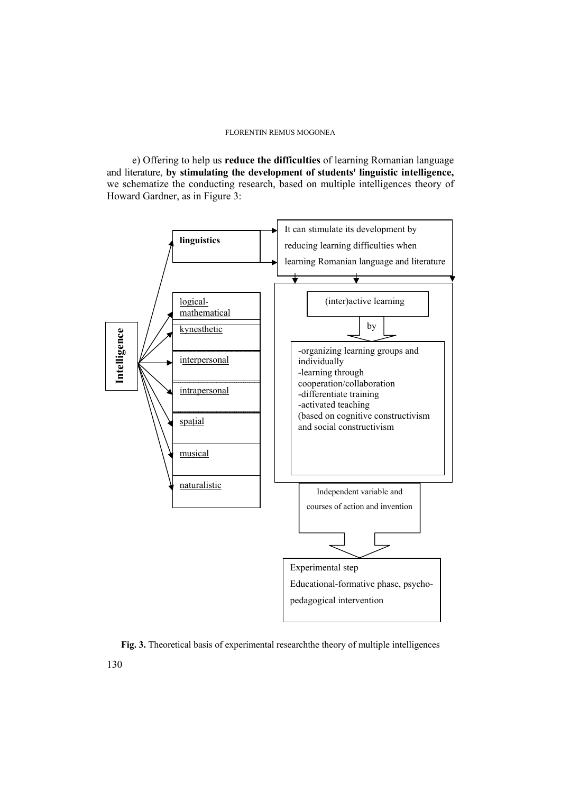e) Offering to help us **reduce the difficulties** of learning Romanian language and literature, **by stimulating the development of students' linguistic intelligence,** we schematize the conducting research, based on multiple intelligences theory of Howard Gardner, as in Figure 3:



**Fig. 3.** Theoretical basis of experimental researchthe theory of multiple intelligences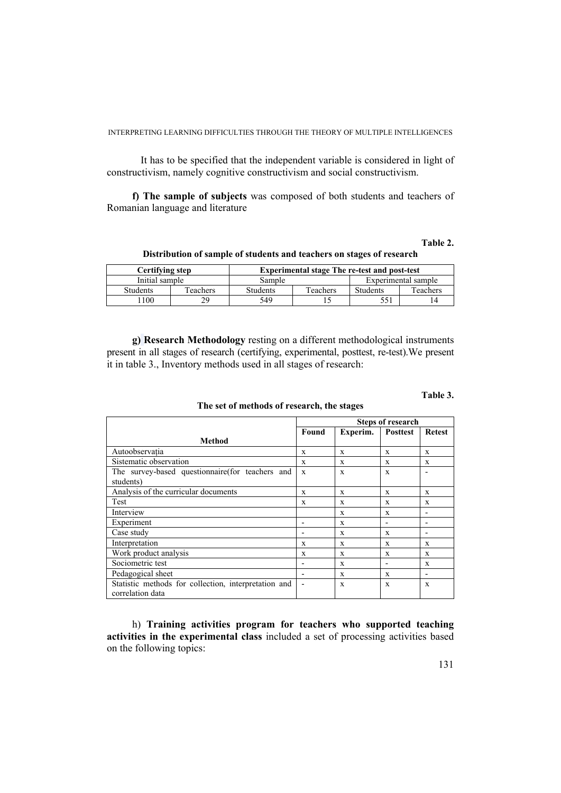It has to be specified that the independent variable is considered in light of constructivism, namely cognitive constructivism and social constructivism.

**f) The sample of subjects** was composed of both students and teachers of Romanian language and literature

### **Table 2.**

**Distribution of sample of students and teachers on stages of research** 

| Certifving step |          | <b>Experimental stage The re-test and post-test</b> |          |                     |          |  |
|-----------------|----------|-----------------------------------------------------|----------|---------------------|----------|--|
| Initial sample  |          | Sample                                              |          | Experimental sample |          |  |
| <b>Students</b> | Teachers | <b>Students</b>                                     | Teachers | Students            | Teachers |  |
| 100             |          | 549                                                 |          |                     |          |  |

**g) Research Methodology** resting on a different methodological instruments present in all stages of research (certifying, experimental, posttest, re-test).We present it in table 3., Inventory methods used in all stages of research:

#### **Table 3.**

**The set of methods of research, the stages** 

|                                                      | <b>Steps of research</b> |          |                          |                          |
|------------------------------------------------------|--------------------------|----------|--------------------------|--------------------------|
|                                                      | Found                    | Experim. | <b>Posttest</b>          | <b>Retest</b>            |
| Method                                               |                          |          |                          |                          |
| Autoobservatia                                       | X                        | X        | X                        | X                        |
| Sistematic observation                               | X                        | X        | X                        | X                        |
| The survey-based questionnaire(for teachers and      | X                        | X        | X                        |                          |
| students)                                            |                          |          |                          |                          |
| Analysis of the curricular documents                 | X                        | X        | X                        | X                        |
| Test                                                 | X                        | X        | X                        | X                        |
| Interview                                            |                          | X        | X                        | $\overline{\phantom{0}}$ |
| Experiment                                           |                          | X        |                          | -                        |
| Case study                                           |                          | X        | X                        | -                        |
| Interpretation                                       | X                        | X        | X                        | X                        |
| Work product analysis                                | X                        | X        | X                        | X                        |
| Sociometric test                                     |                          | X        | $\overline{\phantom{0}}$ | X                        |
| Pedagogical sheet                                    | $\overline{\phantom{0}}$ | X        | X                        | $\overline{\phantom{a}}$ |
| Statistic methods for collection, interpretation and |                          | X        | X                        | X                        |
| correlation data                                     |                          |          |                          |                          |

h) **Training activities program for teachers who supported teaching activities in the experimental class** included a set of processing activities based on the following topics: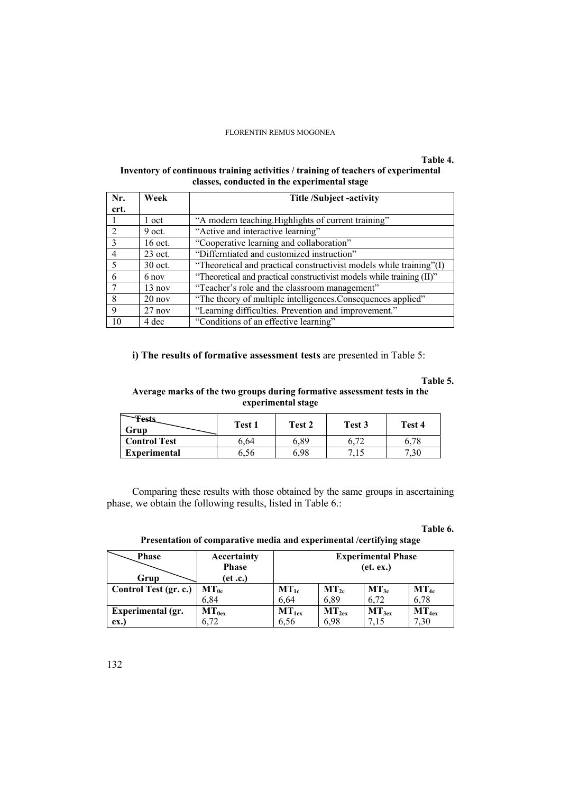# **Table 4.**

## **Inventory of continuous training activities / training of teachers of experimental classes, conducted in the experimental stage**

| Nr.            | Week             | <b>Title /Subject -activity</b>                                       |  |  |
|----------------|------------------|-----------------------------------------------------------------------|--|--|
| crt.           |                  |                                                                       |  |  |
|                | 1 oct            | "A modern teaching. Highlights of current training"                   |  |  |
| $\mathcal{D}$  | $9$ oct.         | "Active and interactive learning"                                     |  |  |
| $\mathcal{R}$  | 16 oct.          | "Cooperative learning and collaboration"                              |  |  |
| $\overline{4}$ | $23$ oct.        | "Differntiated and customized instruction"                            |  |  |
| -5             | 30 oct.          | "Theoretical and practical constructivist models while training"(I)   |  |  |
| 6              | 6 nov            | "Theoretical and practical constructivist models while training (II)" |  |  |
|                | $13 \text{ nov}$ | "Teacher's role and the classroom management"                         |  |  |
| 8              | $20$ nov         | "The theory of multiple intelligences. Consequences applied"          |  |  |
| $\mathbf{Q}$   | $27$ nov         | "Learning difficulties. Prevention and improvement."                  |  |  |
| 10             | 4 dec            | "Conditions of an effective learning"                                 |  |  |

**i) The results of formative assessment tests** are presented in Table 5:

# **Table 5.**

## **Average marks of the two groups during formative assessment tests in the experimental stage**

| <b>Tests</b><br>Grup | Test 1 | Test 2 | Test 3 | Test 4 |
|----------------------|--------|--------|--------|--------|
| <b>Control Test</b>  | 6.64   | 6.89   |        | 6.78   |
| <b>Experimental</b>  | 6.56   | ና 98   |        | 7.30   |

Comparing these results with those obtained by the same groups in ascertaining phase, we obtain the following results, listed in Table 6.:

### **Table 6.**

## **Presentation of comparative media and experimental /certifying stage**

| <b>Phase</b>          | Aecertainty<br><b>Phase</b> | <b>Experimental Phase</b><br>(et. ex.) |                   |            |            |
|-----------------------|-----------------------------|----------------------------------------|-------------------|------------|------------|
| Grup                  | (et.c.)                     |                                        |                   |            |            |
| Control Test (gr. c.) | $MT_{0c}$                   | $MT_{1c}$                              | $MT_{2c}$         | $MT_{3c}$  | $MT_{4c}$  |
|                       | 6,84                        | 6.64                                   | 6.89              | 6.72       | 6.78       |
| Experimental (gr.     | $MT_{0ex}$                  | $MT_{1ex}$                             | MT <sub>2ex</sub> | $MT_{3ex}$ | $MT_{4ex}$ |
| ex.                   | 6,72                        | 6.56                                   | 6.98              | 7.15       | 7,30       |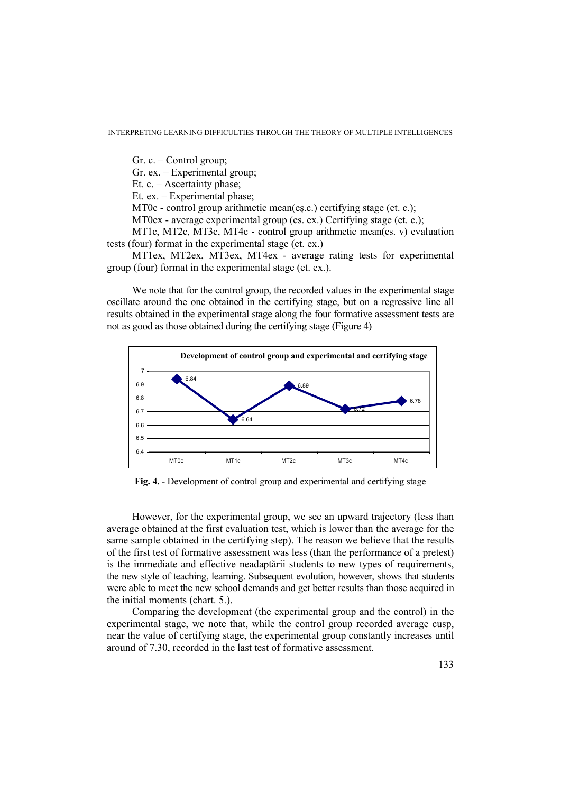Gr. c. – Control group;

Gr. ex. – Experimental group;

Et. c. – Ascertainty phase;

Et. ex. – Experimental phase;

MT0c - control group arithmetic mean(eş.c.) certifying stage (et. c.);

MT0ex - average experimental group (es. ex.) Certifying stage (et. c.);

MT1c, MT2c, MT3c, MT4c - control group arithmetic mean(es. v) evaluation tests (four) format in the experimental stage (et. ex.)

MT1ex, MT2ex, MT3ex, MT4ex - average rating tests for experimental group (four) format in the experimental stage (et. ex.).

We note that for the control group, the recorded values in the experimental stage oscillate around the one obtained in the certifying stage, but on a regressive line all results obtained in the experimental stage along the four formative assessment tests are not as good as those obtained during the certifying stage (Figure 4)



**Fig. 4.** - Development of control group and experimental and certifying stage

However, for the experimental group, we see an upward trajectory (less than average obtained at the first evaluation test, which is lower than the average for the same sample obtained in the certifying step). The reason we believe that the results of the first test of formative assessment was less (than the performance of a pretest) is the immediate and effective neadaptării students to new types of requirements, the new style of teaching, learning. Subsequent evolution, however, shows that students were able to meet the new school demands and get better results than those acquired in the initial moments (chart. 5.).

Comparing the development (the experimental group and the control) in the experimental stage, we note that, while the control group recorded average cusp, near the value of certifying stage, the experimental group constantly increases until around of 7.30, recorded in the last test of formative assessment.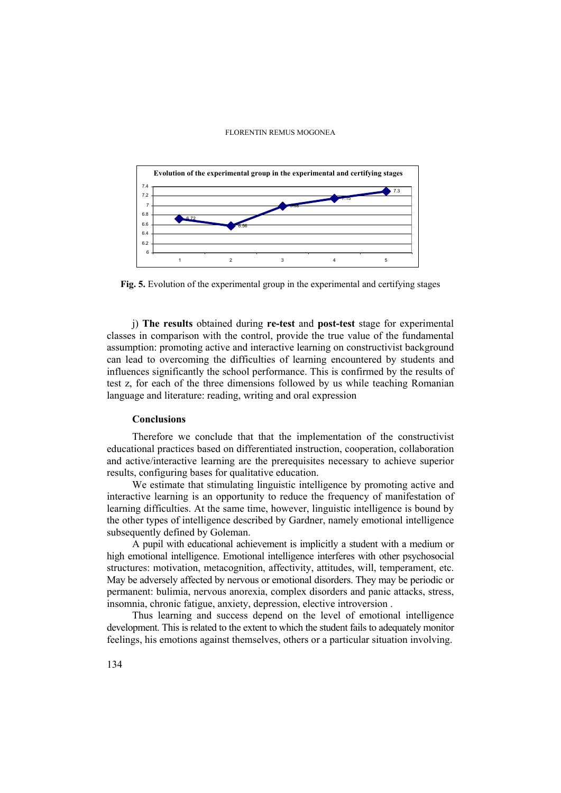

**Fig. 5.** Evolution of the experimental group in the experimental and certifying stages

j) **The results** obtained during **re-test** and **post-test** stage for experimental classes in comparison with the control, provide the true value of the fundamental assumption: promoting active and interactive learning on constructivist background can lead to overcoming the difficulties of learning encountered by students and influences significantly the school performance. This is confirmed by the results of test z, for each of the three dimensions followed by us while teaching Romanian language and literature: reading, writing and oral expression

## **Conclusions**

Therefore we conclude that that the implementation of the constructivist educational practices based on differentiated instruction, cooperation, collaboration and active/interactive learning are the prerequisites necessary to achieve superior results, configuring bases for qualitative education.

We estimate that stimulating linguistic intelligence by promoting active and interactive learning is an opportunity to reduce the frequency of manifestation of learning difficulties. At the same time, however, linguistic intelligence is bound by the other types of intelligence described by Gardner, namely emotional intelligence subsequently defined by Goleman.

A pupil with educational achievement is implicitly a student with a medium or high emotional intelligence. Emotional intelligence interferes with other psychosocial structures: motivation, metacognition, affectivity, attitudes, will, temperament, etc. May be adversely affected by nervous or emotional disorders. They may be periodic or permanent: bulimia, nervous anorexia, complex disorders and panic attacks, stress, insomnia, chronic fatigue, anxiety, depression, elective introversion .

Thus learning and success depend on the level of emotional intelligence development. This is related to the extent to which the student fails to adequately monitor feelings, his emotions against themselves, others or a particular situation involving.